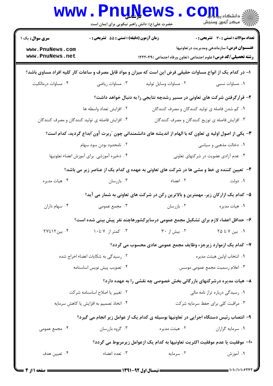|                                                                                                              | <b>www.PnuNews</b><br>حضرت علی(ع): دانش راهبر نیکویی برای ایمان است |                                                                                                        | أأأأمركز آزمون وسنجش                               |  |  |
|--------------------------------------------------------------------------------------------------------------|---------------------------------------------------------------------|--------------------------------------------------------------------------------------------------------|----------------------------------------------------|--|--|
| <b>سری سوال :</b> یک ۱                                                                                       | زمان آزمون (دقیقه) : تستی : 55 آتشریحی : 0                          |                                                                                                        | تعداد سوالات : تستى : 30 قشريحى : 0                |  |  |
| www.PnuNews.com<br>www.PnuNews.net                                                                           |                                                                     | <b>رشته تحصیلی/کد درس:</b> علوم اجتماعی (تعاون ورفاه اجتماعی )۱۲۲۲۰۴۹                                  | <b>عنـــوان درس:</b> سازماندهی ومدیریت در تعاونیها |  |  |
| ا– در کدام یک از انواع مساوات حقیقی فرض این است که میزان و مواد قابل مصرف و ساعات کار کلیه افراد مساوی باشد؟ |                                                                     |                                                                                                        |                                                    |  |  |
| ۰۴ مساوات درمالکیت                                                                                           | ۰۳ مساوات رياضي                                                     | ۰۲ مساوات وسایل تولید                                                                                  | ٠١ مساوات نسبي                                     |  |  |
|                                                                                                              |                                                                     | ۲- قرارگرفتن شرکت های تعاونی در مسیر رشدچه نتایجی را به دنبال خواهد داشت؟                              |                                                    |  |  |
|                                                                                                              | ۰۲ افزایش تعداد واسطه ها                                            | ۰۱ کم شدن فاصله ی تولید کنندگان و مصرف کنندگان                                                         |                                                    |  |  |
|                                                                                                              | ۰۴ افزایش فاصله ی تولید کنندگان و مصرف کنندگان                      | ۰۳ افزایش فاصله ی توزیع کنندگان و مصرف کنندگان                                                         |                                                    |  |  |
|                                                                                                              |                                                                     | ۳- یکی از اصول اولیه ی تعاون که با الهام از اندیشه های دانشمندانی چون ″ربرت آون″ابداع گردید، کدام است؟ |                                                    |  |  |
| ۰۲ نامحدود بودن سود سهام                                                                                     |                                                                     |                                                                                                        | ۰۱ دخالت مذهبی و سیاسی                             |  |  |
|                                                                                                              | ۰۴ ذخیره آموزشی برای آموزش اعضاء تعلونیها                           |                                                                                                        | ۰۳ عدم آزادی عضویت در شرکتهای تعاونی               |  |  |
| ۴- تعیین کننده ی خط و مشی ها در شرکت های تعاونی به عهده ی کدام یک از عناصر زیر می باشد؟                      |                                                                     |                                                                                                        |                                                    |  |  |
| ۰۴ هيات مديره                                                                                                | ۰۳ بازرسان                                                          | ۰۲ اعضاء                                                                                               | ۰۱ دولت                                            |  |  |
|                                                                                                              |                                                                     | ۵– کدام یک ازارکان زیر، مهمترین و بالاترین رکن در شرکت های تعاونی به شمار می آید؟                      |                                                    |  |  |
| ۰۴ سهام داران                                                                                                | ۰۳ مجمع عمومی                                                       | ۰۲ بازرسان                                                                                             | ۰۱ هيات مديره                                      |  |  |
|                                                                                                              |                                                                     | ۶– حداقل اعضاء لازم برای تشکیل مجمع عمومی درسایرکشورهاچند نفر پیش بینی شده است؟                        |                                                    |  |  |
| ۰۴ بین۱۲تا۲۷                                                                                                 | ۰۳ کمتر از ۷ تا۱۰                                                   | ۰۲ بیش از ۳۰                                                                                           | ۰۱ بین ۷ تا ۲۵                                     |  |  |
|                                                                                                              |                                                                     | ۷- کدام یک ازموارد زیرجزء وظایف مجمع عمومی عادی محسوب می گردد؟                                         |                                                    |  |  |
| ۰۲ رسیدگی به شکایات اعضاء اخراج شده                                                                          |                                                                     |                                                                                                        | ٠١. انتخاب اولين هيئت مديره                        |  |  |
| ۰۴ تصویب پیش نویس اساسنامه                                                                                   |                                                                     |                                                                                                        | ۰۳ اعلام رسمیت مجمع عمومی موسس                     |  |  |
|                                                                                                              |                                                                     | ۸– هیات مدیره درشرکتهای بازرگانی بخش خصوصی چه نقشی را به عهده دارد؟                                    |                                                    |  |  |
| ۰۲ تغییر یا اصلاح اساسنامه شرکت                                                                              |                                                                     | ۰۱ رسیدگی درباره تراز نامه مالی                                                                        |                                                    |  |  |
| ۰۴ اتخاذ تصمیم به افزایش یا کاهش سرمایه                                                                      |                                                                     |                                                                                                        | ۰۳ مراقبت کلی برای حفظ سرمایه شرکت                 |  |  |
| ۹- انتصاب رئیس دستگاه اجرایی در تعاونیها بوسیله ی کدام یک از عوامل زیر انجام می گیرد؟                        |                                                                     |                                                                                                        |                                                    |  |  |
| ۰۴ مجمع عمومی                                                                                                | ۰۳ گروه بازرسان                                                     | ۰۲ هیئت مدیره                                                                                          | ۰۱ سرمايه گزاران                                   |  |  |
| ∙ا−  موفقیت یا عدم موفقیت اکثریت تعاونیها به کدام یک ازعوامل زیرمربوط می گردد؟                               |                                                                     |                                                                                                        |                                                    |  |  |
| ۰۴ تعیین هدف                                                                                                 | ۰۳ تعدد اعضاء                                                       | ۰۲ سرمایه                                                                                              | ۱. آموزش                                           |  |  |
|                                                                                                              |                                                                     |                                                                                                        |                                                    |  |  |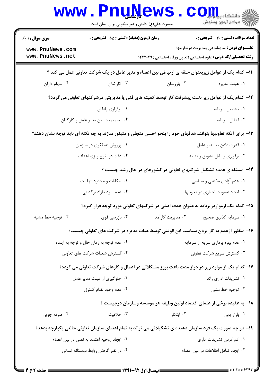|                                                                                                        | <b>www.PnuNews</b><br>حضرت علی(ع): دانش راهبر نیکویی برای ایمان است |                                                                                                                | $\mathbf{C}\mathbf{Q}$ دانشڪاه پيابا               |  |
|--------------------------------------------------------------------------------------------------------|---------------------------------------------------------------------|----------------------------------------------------------------------------------------------------------------|----------------------------------------------------|--|
| <b>سری سوال :</b> ۱ یک                                                                                 | زمان آزمون (دقیقه) : تستی : 55 آتشریحی : 0                          |                                                                                                                | تعداد سوالات : تستي : 30 ٪ تشريحي : 0              |  |
| www.PnuNews.com<br>www.PnuNews.net                                                                     |                                                                     | <b>رشته تحصیلی/کد درس:</b> علوم اجتماعی (تعاون ورفاه اجتماعی )۱۲۲۲۰۴۹                                          | <b>عنـــوان درس:</b> سازماندهی ومدیریت در تعاونیها |  |
| 11– کدام یک از عوامل زیربعنوان حلقه ی ارتباطی بین اعضاء و مدیر عامل در یک شرکت تعاونی عمل می کند ؟     |                                                                     |                                                                                                                |                                                    |  |
| ۰۴ سهام داران                                                                                          | ۰۳ کارکنان                                                          | ۰۲ بازرسان                                                                                                     | ۰۱ هیئت مدیره                                      |  |
| ۱۲– کدام یک از عوامل زیر باعث پیشرفت کار توسط کمیته های فنی یا مدیریتی درشرکتهای تعاونی می گردد؟       |                                                                     |                                                                                                                |                                                    |  |
|                                                                                                        | ۰۲ برقراری پاداش                                                    |                                                                                                                | ٠١ تحصيل سرمايه                                    |  |
| ۰۴ صمیمیت بین مدیر عامل و کارکنان                                                                      |                                                                     |                                                                                                                | ۰۳ انتقال سرمايه                                   |  |
|                                                                                                        |                                                                     | ۱۳- برای آنکه تعاونیها بتوانند هدفهای خود را بنحو احسن متجلی و متبلور سازند به چه نکته ای باید توجه نشان دهند؟ |                                                    |  |
|                                                                                                        | ۰۲ پرورش همفکری در سازمان                                           | ۰۱ قدرت دادن به مدیر عامل                                                                                      |                                                    |  |
|                                                                                                        | ۰۴ دقت در طرح ریزی اهداف                                            |                                                                                                                | ۰۳ برقراری وسایل تشویق و تنبیه                     |  |
|                                                                                                        |                                                                     | ۱۴- ً مسئله ی عمده تشکیل شرکتهای تعاونی در کشورهای در حال رشد چیست ؟                                           |                                                    |  |
|                                                                                                        | ۰۲ امکانات و محدودیتهاست                                            |                                                                                                                | ۰۱ عدم آزادی مذهبی و سیاسی                         |  |
|                                                                                                        | ۰۴ عدم سود مازاد برگشتی                                             |                                                                                                                | ٠٣ ايجاد عضويت اجبارى در تعاونيها                  |  |
|                                                                                                        |                                                                     | ۱۵– کدام یک ازمواردزیرباید به عنوان هدف اصلی در شرکتهای تعاونی مورد توجه قرار گیرد؟                            |                                                    |  |
| ۰۴ توجيه خط مشيه                                                                                       | ۰۳ بازرسی قوی                                                       | ۰۲ مدیریت کارآمد                                                                                               | ٠١ سرمايه گذاري صحيح                               |  |
|                                                                                                        |                                                                     | ۱۶– منظور ازعدم به کار بردن سیاست ابن الوقتی توسط هیات مدیره در شرکت های تعاونی چیست؟                          |                                                    |  |
| ۰۲ عدم توجه به زمان حال و توجه به آینده                                                                |                                                                     |                                                                                                                | ۰۱ عدم بهره برداري سريع از سرمايه                  |  |
| ۰۴ گسترش شعبات شرکت های تعاونی                                                                         |                                                                     |                                                                                                                | ۰۳ گسترش سریع شرکت تعاونی                          |  |
|                                                                                                        |                                                                     | ۱۷– کدام یک از موارد زیر در دراز مدت باعث بروز مشکلاتی در اعمال و کارهای شرکت تعاونی می گردد؟                  |                                                    |  |
|                                                                                                        | ۰۲ جلوگیری از غیبت مدیر عامل                                        |                                                                                                                | ۰۱ تشریفات اداری زائد                              |  |
|                                                                                                        | ۰۴ عدم وجود نظام كنترل                                              |                                                                                                                | ۰۳ توجیه خط مشی                                    |  |
|                                                                                                        |                                                                     | ۱۸– به عقیده برخی از علمای اقتصاد اولین وظیفه هر موسسه وسازمان درچیست ؟                                        |                                                    |  |
| ۰۴ صرفه جویی                                                                                           | ۰۳ خلاقیت                                                           | ۰۲ ابتکار                                                                                                      | ٠١. بازار يابي                                     |  |
| ۱۹- در چه صورت یک فرد سازمان دهنده ی تشکیلاتی می تواند به تمام اعضای سازمان تعاونی حالتی یکپارچه بدهد؟ |                                                                     |                                                                                                                |                                                    |  |
|                                                                                                        | ٠٢ ايجاد روحيه اعتماد به نفس در بين اعضاء                           |                                                                                                                | ۰۱ کم کردن تشریفات اداری                           |  |
| ۰۴ در نظر گرفتن روابط دوستانه انسانی                                                                   |                                                                     |                                                                                                                | ۰۳ ایجاد تبادل اطلاعات در بین اعضاء                |  |
|                                                                                                        |                                                                     |                                                                                                                |                                                    |  |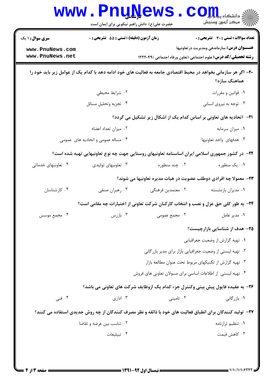| <b>سری سوال : ۱ یک</b> | زمان آزمون (دقیقه) : تستی : 55 آتشریحی : 0                |                                                                                                                 | <b>تعداد سوالات : تستی : 30 ٪ تشریحی : 0</b>       |
|------------------------|-----------------------------------------------------------|-----------------------------------------------------------------------------------------------------------------|----------------------------------------------------|
| www.PnuNews.com        |                                                           |                                                                                                                 | <b>عنـــوان درس:</b> سازماندهی ومدیریت در تعاونیها |
| www.PnuNews.net        |                                                           | <b>رشته تحصیلی/کد درس:</b> علوم اجتماعی (تعاون ورفاه اجتماعی )۱۲۲۲۰۴۹                                           |                                                    |
|                        |                                                           | ۲۰- اگر هر سازمانی بخواهد در محیط اقتصادی جامعه به فعالیت های خود ادامه دهد با کدام یک از عوامل زیر باید خود را | هماهنگ سازد؟                                       |
|                        | ۰۲ شرایط محیطی                                            |                                                                                                                 | ٠١ قوانين و مقررات                                 |
|                        | ۰۴ تجزيه وتحليل مسائل                                     |                                                                                                                 | ۰۳ توجه به نیروی انسانی                            |
|                        |                                                           | <b>۲۱</b> - اتحادیه های تعاونی بر اساس کدام یک از اشکال زیر تشکیل می گردد؟                                      |                                                    |
|                        | ۰۲ میزان تعداد اعضاء                                      |                                                                                                                 | ۰۱ میزان سرمایه                                    |
|                        | ۰۴ مساله عمومی و اتحادیه های عمومی                        |                                                                                                                 | ۰۳ هدفهای واحد تعاونیها                            |
|                        |                                                           | ۲۲– در کشور جمهوری اسلامی ایران اساسنامه تعاونیهای روستایی جهت چه نوع تعاونیهایی تهیه شده است؟                  |                                                    |
| ۰۴ تعاونبهای خدماتی    | ۰۳ تعاونیهای تولیدی                                       | ۰۲ چند منظوره                                                                                                   | ۰۱ یک منظوره                                       |
|                        |                                                           | ۲۳- معمولا چه افرادی دوطلب عضویت در هیات مدیره تعاونیها می شوند؟                                                |                                                    |
| ۰۴ کارشناسان           | ۰۳ رهبران صنفي                                            | ۰۲ معتمدین فرهنگی                                                                                               | ٠١ مديران بازنشسته                                 |
|                        |                                                           | ۲۴- به طور کلی حق عزل و نصب و انتخاب کارکنان شرکت تعاونی از اختیارات چه مقامی است؟                              |                                                    |
| ۰۴ مجمع موسس           | ا بازرس $\cdot$ ۳ .                                       |                                                                                                                 | ۰۱ مدیر عامل می در ۲۰۰ مجمع عمومی <b>۱</b>         |
|                        |                                                           |                                                                                                                 | ۲۵– هدف از شناسایی بازارچیست؟                      |
|                        |                                                           |                                                                                                                 | ۰۱ تهیه گزارش از وضعیت جغرافیایی                   |
|                        | ۰۲ تهیه لیستی از وضعیت جغرافیایی بازار برای مدیر بازرگانی |                                                                                                                 |                                                    |
|                        | ۰۳ تهیه گزارش از تکنیکهای مربوط تحت عنوان مطالعه بازار    |                                                                                                                 |                                                    |
|                        |                                                           | ۰۴ تهیه لیستی از اطلاعات اساسی برای مسولان تعاونی های فروش                                                      |                                                    |
|                        |                                                           | ۲۶- به عقیده فایول پیش بینی وکنترل جزء کدام یک ازوظایف شرکت های تعاونی می باشد؟                                 |                                                    |
| ۰۴ فنی                 | ا ادا <sub>دی</sub> $\cdot$                               | ۰۲ تامینی                                                                                                       | ۰۱ بازرگانی                                        |
|                        |                                                           | ۲۷– تولید کنندگان برای انطباق فعالیت های خود با ذائقه و نظر مصرف کنندگان از چه روش جدیدی استفاده می کنند؟       |                                                    |
|                        | ۰۲ تناسب بین عرضه و تقاضا                                 |                                                                                                                 | ۰۱ تنظیم ترازنامه                                  |
|                        | ۰۴ تبيليغات                                               |                                                                                                                 | ۰۳ کاهش قیمت                                       |